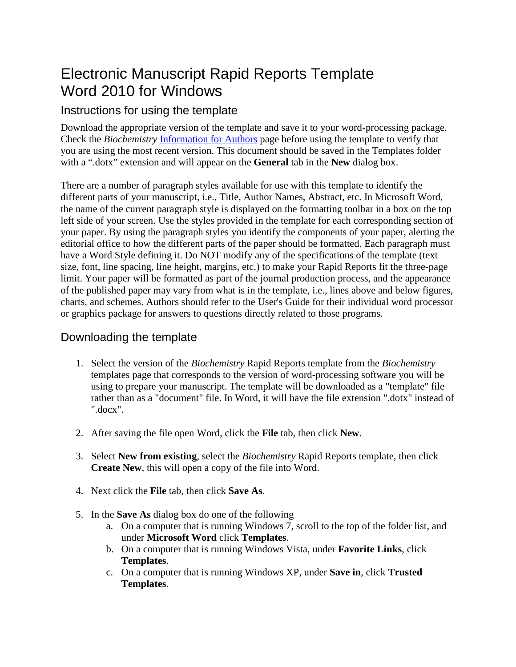# Electronic Manuscript Rapid Reports Template Word 2010 for Windows

## Instructions for using the template

Download the appropriate version of the template and save it to your word-processing package. Check the *Biochemistry* [Information for Authors](http://pubs.acs.org/page/bichaw/submission/authors.html) page before using the template to verify that you are using the most recent version. This document should be saved in the Templates folder with a ".dotx" extension and will appear on the **General** tab in the **New** dialog box.

There are a number of paragraph styles available for use with this template to identify the different parts of your manuscript, i.e., Title, Author Names, Abstract, etc. In Microsoft Word, the name of the current paragraph style is displayed on the formatting toolbar in a box on the top left side of your screen. Use the styles provided in the template for each corresponding section of your paper. By using the paragraph styles you identify the components of your paper, alerting the editorial office to how the different parts of the paper should be formatted. Each paragraph must have a Word Style defining it. Do NOT modify any of the specifications of the template (text size, font, line spacing, line height, margins, etc.) to make your Rapid Reports fit the three-page limit. Your paper will be formatted as part of the journal production process, and the appearance of the published paper may vary from what is in the template, i.e., lines above and below figures, charts, and schemes. Authors should refer to the User's Guide for their individual word processor or graphics package for answers to questions directly related to those programs.

# Downloading the template

- 1. Select the version of the *Biochemistry* Rapid Reports template from the *Biochemistry*  templates page that corresponds to the version of word-processing software you will be using to prepare your manuscript. The template will be downloaded as a "template" file rather than as a "document" file. In Word, it will have the file extension ".dotx" instead of ".docx".
- 2. After saving the file open Word, click the **File** tab, then click **New**.
- 3. Select **New from existing**, select the *Biochemistry* Rapid Reports template, then click **Create New**, this will open a copy of the file into Word.
- 4. Next click the **File** tab, then click **Save As**.
- 5. In the **Save As** dialog box do one of the following
	- a. On a computer that is running Windows 7, scroll to the top of the folder list, and under **Microsoft Word** click **Templates**.
	- b. On a computer that is running Windows Vista, under **Favorite Links**, click **Templates**.
	- c. On a computer that is running Windows XP, under **Save in**, click **Trusted Templates**.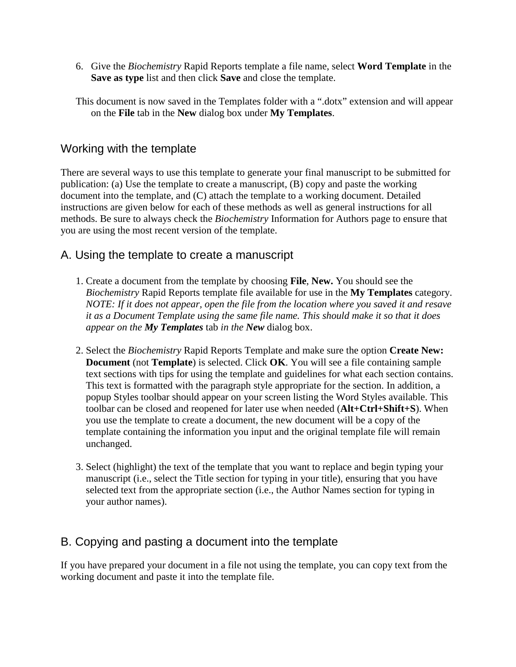6. Give the *Biochemistry* Rapid Reports template a file name, select **Word Template** in the **Save as type** list and then click **Save** and close the template.

This document is now saved in the Templates folder with a ".dotx" extension and will appear on the **File** tab in the **New** dialog box under **My Templates**.

#### Working with the template

There are several ways to use this template to generate your final manuscript to be submitted for publication: (a) Use the template to create a manuscript, (B) copy and paste the working document into the template, and (C) attach the template to a working document. Detailed instructions are given below for each of these methods as well as general instructions for all methods. Be sure to always check the *Biochemistry* Information for Authors page to ensure that you are using the most recent version of the template.

#### A. Using the template to create a manuscript

- 1. Create a document from the template by choosing **File**, **New.** You should see the *Biochemistry* Rapid Reports template file available for use in the **My Templates** category. *NOTE: If it does not appear, open the file from the location where you saved it and resave it as a Document Template using the same file name. This should make it so that it does appear on the My Templates* tab *in the New* dialog box.
- 2. Select the *Biochemistry* Rapid Reports Template and make sure the option **Create New: Document** (not **Template**) is selected. Click **OK**. You will see a file containing sample text sections with tips for using the template and guidelines for what each section contains. This text is formatted with the paragraph style appropriate for the section. In addition, a popup Styles toolbar should appear on your screen listing the Word Styles available. This toolbar can be closed and reopened for later use when needed (**Alt+Ctrl+Shift+S**). When you use the template to create a document, the new document will be a copy of the template containing the information you input and the original template file will remain unchanged.
- 3. Select (highlight) the text of the template that you want to replace and begin typing your manuscript (i.e., select the Title section for typing in your title), ensuring that you have selected text from the appropriate section (i.e., the Author Names section for typing in your author names).

### B. Copying and pasting a document into the template

If you have prepared your document in a file not using the template, you can copy text from the working document and paste it into the template file.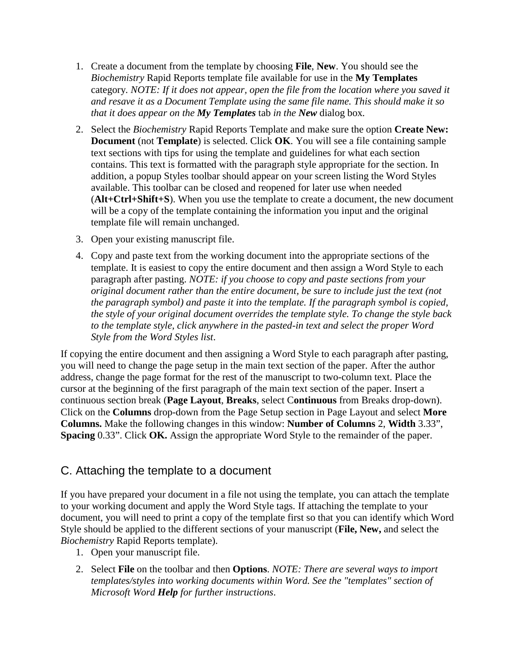- 1. Create a document from the template by choosing **File**, **New**. You should see the *Biochemistry* Rapid Reports template file available for use in the **My Templates** category*. NOTE: If it does not appear, open the file from the location where you saved it and resave it as a Document Template using the same file name. This should make it so that it does appear on the My Templates* tab *in the New* dialog box*.*
- 2. Select the *Biochemistry* Rapid Reports Template and make sure the option **Create New: Document** (not **Template**) is selected. Click **OK**. You will see a file containing sample text sections with tips for using the template and guidelines for what each section contains. This text is formatted with the paragraph style appropriate for the section. In addition, a popup Styles toolbar should appear on your screen listing the Word Styles available. This toolbar can be closed and reopened for later use when needed (**Alt+Ctrl+Shift+S**). When you use the template to create a document, the new document will be a copy of the template containing the information you input and the original template file will remain unchanged.
- 3. Open your existing manuscript file.
- 4. Copy and paste text from the working document into the appropriate sections of the template. It is easiest to copy the entire document and then assign a Word Style to each paragraph after pasting. *NOTE: if you choose to copy and paste sections from your original document rather than the entire document, be sure to include just the text (not the paragraph symbol) and paste it into the template. If the paragraph symbol is copied, the style of your original document overrides the template style. To change the style back to the template style, click anywhere in the pasted-in text and select the proper Word Style from the Word Styles list*.

If copying the entire document and then assigning a Word Style to each paragraph after pasting, you will need to change the page setup in the main text section of the paper. After the author address, change the page format for the rest of the manuscript to two-column text. Place the cursor at the beginning of the first paragraph of the main text section of the paper. Insert a continuous section break (**Page Layout**, **Breaks**, select C**ontinuous** from Breaks drop-down). Click on the **Columns** drop-down from the Page Setup section in Page Layout and select **More Columns.** Make the following changes in this window: **Number of Columns** 2, **Width** 3.33", **Spacing** 0.33". Click **OK.** Assign the appropriate Word Style to the remainder of the paper.

#### C. Attaching the template to a document

If you have prepared your document in a file not using the template, you can attach the template to your working document and apply the Word Style tags. If attaching the template to your document, you will need to print a copy of the template first so that you can identify which Word Style should be applied to the different sections of your manuscript (**File, New,** and select the *Biochemistry* Rapid Reports template).

- 1. Open your manuscript file.
- 2. Select **File** on the toolbar and then **Options**. *NOTE: There are several ways to import templates/styles into working documents within Word. See the "templates" section of Microsoft Word Help for further instructions*.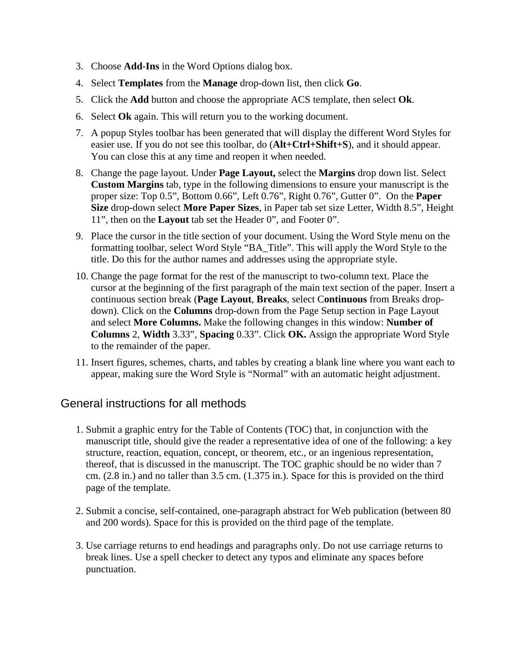- 3. Choose **Add-Ins** in the Word Options dialog box.
- 4. Select **Templates** from the **Manage** drop-down list, then click **Go**.
- 5. Click the **Add** button and choose the appropriate ACS template, then select **Ok**.
- 6. Select **Ok** again. This will return you to the working document.
- 7. A popup Styles toolbar has been generated that will display the different Word Styles for easier use. If you do not see this toolbar, do (**Alt+Ctrl+Shift+S**), and it should appear. You can close this at any time and reopen it when needed.
- 8. Change the page layout. Under **Page Layout,** select the **Margins** drop down list. Select **Custom Margins** tab, type in the following dimensions to ensure your manuscript is the proper size: Top 0.5", Bottom 0.66", Left 0.76", Right 0.76", Gutter 0". On the **Paper Size** drop-down select **More Paper Sizes**, in Paper tab set size Letter, Width 8.5", Height 11", then on the **Layout** tab set the Header 0", and Footer 0".
- 9. Place the cursor in the title section of your document. Using the Word Style menu on the formatting toolbar, select Word Style "BA\_Title". This will apply the Word Style to the title. Do this for the author names and addresses using the appropriate style.
- 10. Change the page format for the rest of the manuscript to two-column text. Place the cursor at the beginning of the first paragraph of the main text section of the paper. Insert a continuous section break (**Page Layout**, **Breaks**, select C**ontinuous** from Breaks dropdown). Click on the **Columns** drop-down from the Page Setup section in Page Layout and select **More Columns.** Make the following changes in this window: **Number of Columns** 2, **Width** 3.33", **Spacing** 0.33". Click **OK.** Assign the appropriate Word Style to the remainder of the paper.
- 11. Insert figures, schemes, charts, and tables by creating a blank line where you want each to appear, making sure the Word Style is "Normal" with an automatic height adjustment.

#### General instructions for all methods

- 1. Submit a graphic entry for the Table of Contents (TOC) that, in conjunction with the manuscript title, should give the reader a representative idea of one of the following: a key structure, reaction, equation, concept, or theorem, etc., or an ingenious representation, thereof, that is discussed in the manuscript. The TOC graphic should be no wider than 7 cm. (2.8 in.) and no taller than 3.5 cm. (1.375 in.). Space for this is provided on the third page of the template.
- 2. Submit a concise, self-contained, one-paragraph abstract for Web publication (between 80 and 200 words). Space for this is provided on the third page of the template.
- 3. Use carriage returns to end headings and paragraphs only. Do not use carriage returns to break lines. Use a spell checker to detect any typos and eliminate any spaces before punctuation.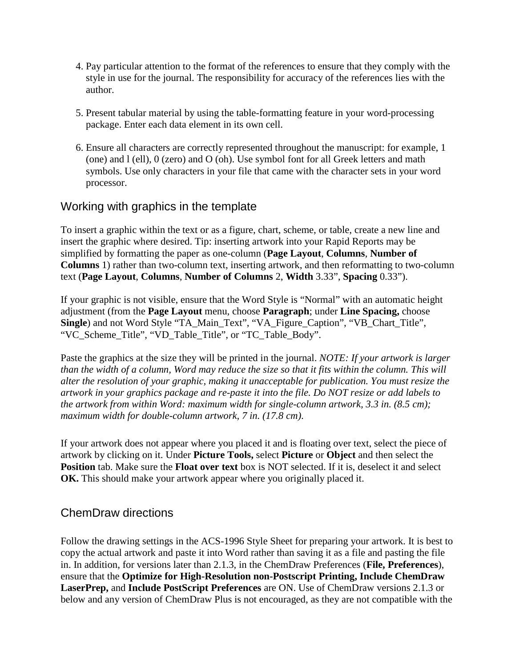- 4. Pay particular attention to the format of the references to ensure that they comply with the style in use for the journal. The responsibility for accuracy of the references lies with the author.
- 5. Present tabular material by using the table-formatting feature in your word-processing package. Enter each data element in its own cell.
- 6. Ensure all characters are correctly represented throughout the manuscript: for example, 1 (one) and l (ell), 0 (zero) and O (oh). Use symbol font for all Greek letters and math symbols. Use only characters in your file that came with the character sets in your word processor.

#### Working with graphics in the template

To insert a graphic within the text or as a figure, chart, scheme, or table, create a new line and insert the graphic where desired. Tip: inserting artwork into your Rapid Reports may be simplified by formatting the paper as one-column (**Page Layout**, **Columns**, **Number of Columns** 1) rather than two-column text, inserting artwork, and then reformatting to two-column text (**Page Layout**, **Columns**, **Number of Columns** 2, **Width** 3.33", **Spacing** 0.33").

If your graphic is not visible, ensure that the Word Style is "Normal" with an automatic height adjustment (from the **Page Layout** menu, choose **Paragraph**; under **Line Spacing,** choose **Single**) and not Word Style "TA\_Main\_Text", "VA\_Figure\_Caption", "VB\_Chart\_Title", "VC\_Scheme\_Title", "VD\_Table\_Title", or "TC\_Table\_Body".

Paste the graphics at the size they will be printed in the journal. *NOTE: If your artwork is larger than the width of a column, Word may reduce the size so that it fits within the column. This will alter the resolution of your graphic, making it unacceptable for publication. You must resize the artwork in your graphics package and re-paste it into the file. Do NOT resize or add labels to the artwork from within Word: maximum width for single-column artwork, 3.3 in. (8.5 cm); maximum width for double-column artwork, 7 in. (17.8 cm)*.

If your artwork does not appear where you placed it and is floating over text, select the piece of artwork by clicking on it. Under **Picture Tools,** select **Picture** or **Object** and then select the **Position** tab. Make sure the **Float over text** box is NOT selected. If it is, deselect it and select **OK.** This should make your artwork appear where you originally placed it.

#### ChemDraw directions

Follow the drawing settings in the ACS-1996 Style Sheet for preparing your artwork. It is best to copy the actual artwork and paste it into Word rather than saving it as a file and pasting the file in. In addition, for versions later than 2.1.3, in the ChemDraw Preferences (**File, Preferences**), ensure that the **Optimize for High-Resolution non-Postscript Printing, Include ChemDraw LaserPrep,** and **Include PostScript Preferences** are ON. Use of ChemDraw versions 2.1.3 or below and any version of ChemDraw Plus is not encouraged, as they are not compatible with the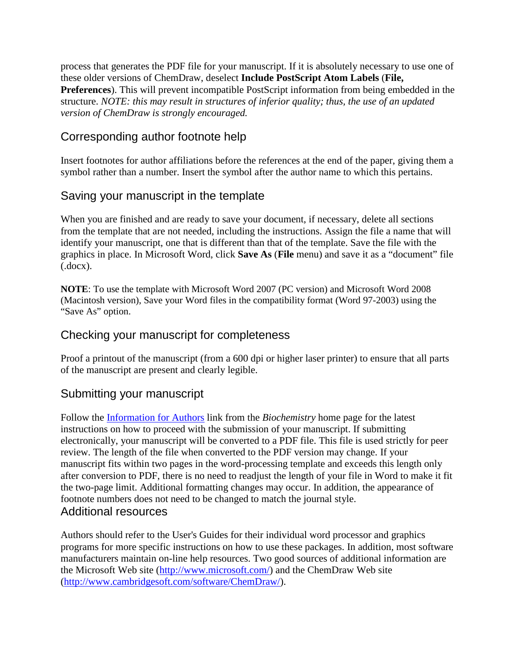process that generates the PDF file for your manuscript. If it is absolutely necessary to use one of these older versions of ChemDraw, deselect **Include PostScript Atom Labels** (**File, Preferences**). This will prevent incompatible PostScript information from being embedded in the structure. *NOTE: this may result in structures of inferior quality; thus, the use of an updated version of ChemDraw is strongly encouraged.* 

#### Corresponding author footnote help

Insert footnotes for author affiliations before the references at the end of the paper, giving them a symbol rather than a number. Insert the symbol after the author name to which this pertains.

#### Saving your manuscript in the template

When you are finished and are ready to save your document, if necessary, delete all sections from the template that are not needed, including the instructions. Assign the file a name that will identify your manuscript, one that is different than that of the template. Save the file with the graphics in place. In Microsoft Word, click **Save As** (**File** menu) and save it as a "document" file (.docx).

**NOTE**: To use the template with Microsoft Word 2007 (PC version) and Microsoft Word 2008 (Macintosh version), Save your Word files in the compatibility format (Word 97-2003) using the "Save As" option.

#### Checking your manuscript for completeness

Proof a printout of the manuscript (from a 600 dpi or higher laser printer) to ensure that all parts of the manuscript are present and clearly legible.

#### Submitting your manuscript

Follow the [Information for Authors](http://pubs.acs.org/page/bichaw/submission/authors.html) link from the *Biochemistry* home page for the latest instructions on how to proceed with the submission of your manuscript. If submitting electronically, your manuscript will be converted to a PDF file. This file is used strictly for peer review. The length of the file when converted to the PDF version may change. If your manuscript fits within two pages in the word-processing template and exceeds this length only after conversion to PDF, there is no need to readjust the length of your file in Word to make it fit the two-page limit. Additional formatting changes may occur. In addition, the appearance of footnote numbers does not need to be changed to match the journal style. Additional resources

Authors should refer to the User's Guides for their individual word processor and graphics programs for more specific instructions on how to use these packages. In addition, most software manufacturers maintain on-line help resources. Two good sources of additional information are the Microsoft Web site [\(http://www.microsoft.com/\)](http://www.microsoft.com/) and the ChemDraw Web site [\(http://www.cambridgesoft.com/software/ChemDraw/\)](http://www.cambridgesoft.com/software/ChemDraw/).